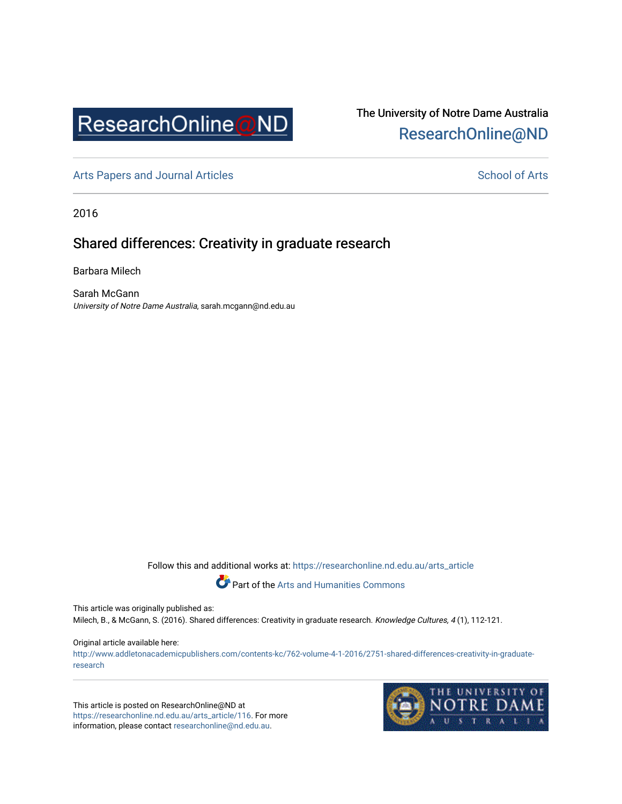

# The University of Notre Dame Australia [ResearchOnline@ND](https://researchonline.nd.edu.au/)

[Arts Papers and Journal Articles](https://researchonline.nd.edu.au/arts_article) and [School of Arts](https://researchonline.nd.edu.au/arts) School of Arts

2016

## Shared differences: Creativity in graduate research

Barbara Milech

Sarah McGann University of Notre Dame Australia, sarah.mcgann@nd.edu.au

Follow this and additional works at: [https://researchonline.nd.edu.au/arts\\_article](https://researchonline.nd.edu.au/arts_article?utm_source=researchonline.nd.edu.au%2Farts_article%2F116&utm_medium=PDF&utm_campaign=PDFCoverPages) 

Part of the [Arts and Humanities Commons](http://network.bepress.com/hgg/discipline/438?utm_source=researchonline.nd.edu.au%2Farts_article%2F116&utm_medium=PDF&utm_campaign=PDFCoverPages) 

This article was originally published as:

Milech, B., & McGann, S. (2016). Shared differences: Creativity in graduate research. Knowledge Cultures, 4 (1), 112-121.

### Original article available here:

[http://www.addletonacademicpublishers.com/contents-kc/762-volume-4-1-2016/2751-shared-differences-creativity-in-graduate](http://www.addletonacademicpublishers.com/contents-kc/762-volume-4-1-2016/2751-shared-differences-creativity-in-graduate-research)[research](http://www.addletonacademicpublishers.com/contents-kc/762-volume-4-1-2016/2751-shared-differences-creativity-in-graduate-research) 

This article is posted on ResearchOnline@ND at [https://researchonline.nd.edu.au/arts\\_article/116](https://researchonline.nd.edu.au/arts_article/116). For more information, please contact [researchonline@nd.edu.au.](mailto:researchonline@nd.edu.au)

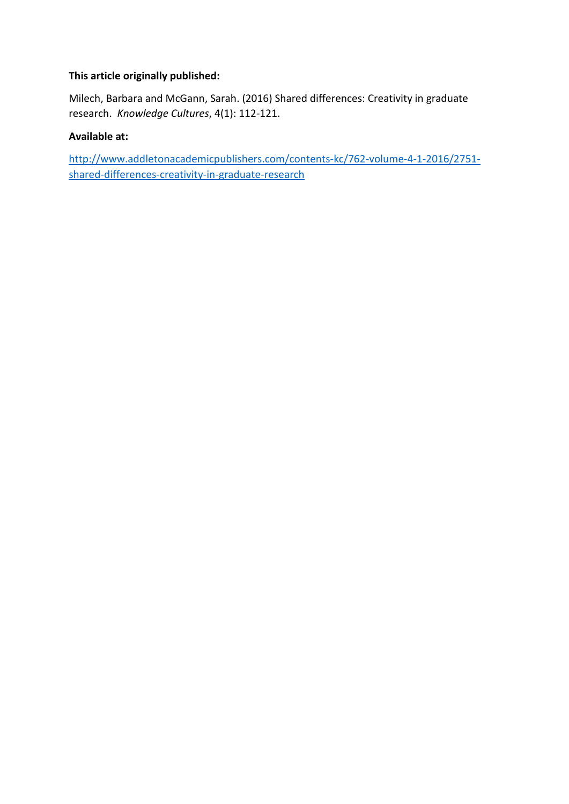## **This article originally published:**

Milech, Barbara and McGann, Sarah. (2016) Shared differences: Creativity in graduate research. *Knowledge Cultures*, 4(1): 112-121.

## **Available at:**

[http://www.addletonacademicpublishers.com/contents-kc/762-volume-4-1-2016/2751](http://www.addletonacademicpublishers.com/contents-kc/762-volume-4-1-2016/2751-shared-differences-creativity-in-graduate-research) [shared-differences-creativity-in-graduate-research](http://www.addletonacademicpublishers.com/contents-kc/762-volume-4-1-2016/2751-shared-differences-creativity-in-graduate-research)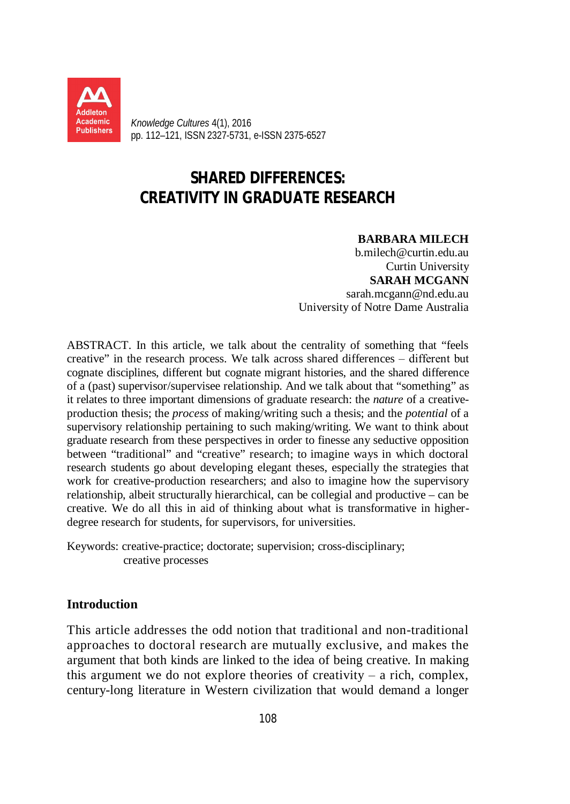

*Knowledge Cultures* 4(1), 2016 pp. 112–121, ISSN 2327-5731, e-ISSN 2375-6527

# **SHARED DIFFERENCES: CREATIVITY IN GRADUATE RESEARCH**

## **BARBARA MILECH**

b.milech@curtin.edu.au Curtin University **SARAH MCGANN** sarah.mcgann@nd.edu.au University of Notre Dame Australia

ABSTRACT. In this article, we talk about the centrality of something that "feels creative" in the research process. We talk across shared differences ‒ different but cognate disciplines, different but cognate migrant histories, and the shared difference of a (past) supervisor/supervisee relationship. And we talk about that "something" as it relates to three important dimensions of graduate research: the *nature* of a creativeproduction thesis; the *process* of making/writing such a thesis; and the *potential* of a supervisory relationship pertaining to such making/writing. We want to think about graduate research from these perspectives in order to finesse any seductive opposition between "traditional" and "creative" research; to imagine ways in which doctoral research students go about developing elegant theses, especially the strategies that work for creative-production researchers; and also to imagine how the supervisory relationship, albeit structurally hierarchical, can be collegial and productive – can be creative. We do all this in aid of thinking about what is transformative in higherdegree research for students, for supervisors, for universities.

Keywords: creative-practice; doctorate; supervision; cross-disciplinary; creative processes

## **Introduction**

This article addresses the odd notion that traditional and non-traditional approaches to doctoral research are mutually exclusive, and makes the argument that both kinds are linked to the idea of being creative. In making this argument we do not explore theories of creativity  $-$  a rich, complex, century-long literature in Western civilization that would demand a longer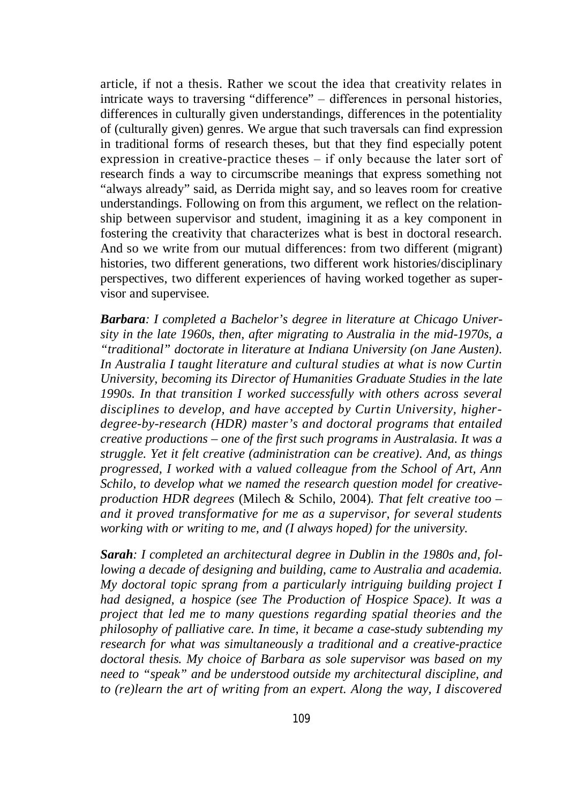article, if not a thesis. Rather we scout the idea that creativity relates in intricate ways to traversing "difference" ‒ differences in personal histories, differences in culturally given understandings, differences in the potentiality of (culturally given) genres. We argue that such traversals can find expression in traditional forms of research theses, but that they find especially potent expression in creative-practice theses  $-$  if only because the later sort of research finds a way to circumscribe meanings that express something not "always already" said, as Derrida might say, and so leaves room for creative understandings. Following on from this argument, we reflect on the relationship between supervisor and student, imagining it as a key component in fostering the creativity that characterizes what is best in doctoral research. And so we write from our mutual differences: from two different (migrant) histories, two different generations, two different work histories/disciplinary perspectives, two different experiences of having worked together as supervisor and supervisee.

*Barbara: I completed a Bachelor's degree in literature at Chicago University in the late 1960s, then, after migrating to Australia in the mid-1970s, a "traditional" doctorate in literature at Indiana University (on Jane Austen). In Australia I taught literature and cultural studies at what is now Curtin University, becoming its Director of Humanities Graduate Studies in the late 1990s. In that transition I worked successfully with others across several disciplines to develop, and have accepted by Curtin University, higherdegree-by-research (HDR) master's and doctoral programs that entailed creative productions – one of the first such programs in Australasia. It was a struggle. Yet it felt creative (administration can be creative). And, as things progressed, I worked with a valued colleague from the School of Art, Ann Schilo, to develop what we named the research question model for creativeproduction HDR degrees* (Milech & Schilo, 2004)*. That felt creative too – and it proved transformative for me as a supervisor, for several students working with or writing to me, and (I always hoped) for the university.*

*Sarah: I completed an architectural degree in Dublin in the 1980s and, following a decade of designing and building, came to Australia and academia. My doctoral topic sprang from a particularly intriguing building project I had designed, a hospice (see The Production of Hospice Space). It was a project that led me to many questions regarding spatial theories and the philosophy of palliative care. In time, it became a case-study subtending my research for what was simultaneously a traditional and a creative-practice doctoral thesis. My choice of Barbara as sole supervisor was based on my need to "speak" and be understood outside my architectural discipline, and to (re)learn the art of writing from an expert. Along the way, I discovered*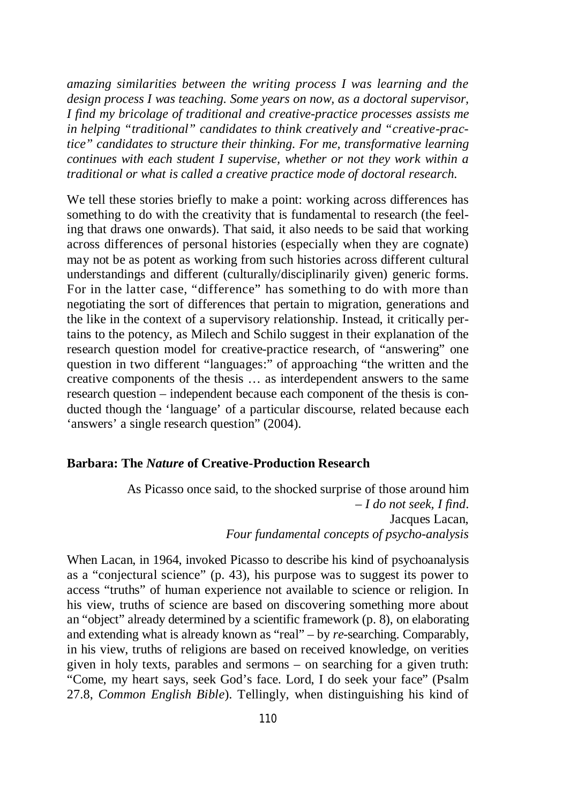*amazing similarities between the writing process I was learning and the design process I was teaching. Some years on now, as a doctoral supervisor, I find my bricolage of traditional and creative-practice processes assists me in helping "traditional" candidates to think creatively and "creative-practice" candidates to structure their thinking. For me, transformative learning continues with each student I supervise, whether or not they work within a traditional or what is called a creative practice mode of doctoral research.*

We tell these stories briefly to make a point: working across differences has something to do with the creativity that is fundamental to research (the feeling that draws one onwards). That said, it also needs to be said that working across differences of personal histories (especially when they are cognate) may not be as potent as working from such histories across different cultural understandings and different (culturally/disciplinarily given) generic forms. For in the latter case, "difference" has something to do with more than negotiating the sort of differences that pertain to migration, generations and the like in the context of a supervisory relationship. Instead, it critically pertains to the potency, as Milech and Schilo suggest in their explanation of the research question model for creative-practice research, of "answering" one question in two different "languages:" of approaching "the written and the creative components of the thesis … as interdependent answers to the same research question – independent because each component of the thesis is conducted though the 'language' of a particular discourse, related because each 'answers' a single research question" (2004).

## **Barbara: The** *Nature* **of Creative-Production Research**

As Picasso once said, to the shocked surprise of those around him – *I do not seek, I find*. Jacques Lacan, *Four fundamental concepts of psycho-analysis*

When Lacan, in 1964, invoked Picasso to describe his kind of psychoanalysis as a "conjectural science" (p. 43), his purpose was to suggest its power to access "truths" of human experience not available to science or religion. In his view, truths of science are based on discovering something more about an "object" already determined by a scientific framework (p. 8), on elaborating and extending what is already known as "real" – by *re*-searching. Comparably, in his view, truths of religions are based on received knowledge, on verities given in holy texts, parables and sermons – on searching for a given truth: "Come, my heart says, seek God's face. Lord, I do seek your face" (Psalm 27.8, *Common English Bible*). Tellingly, when distinguishing his kind of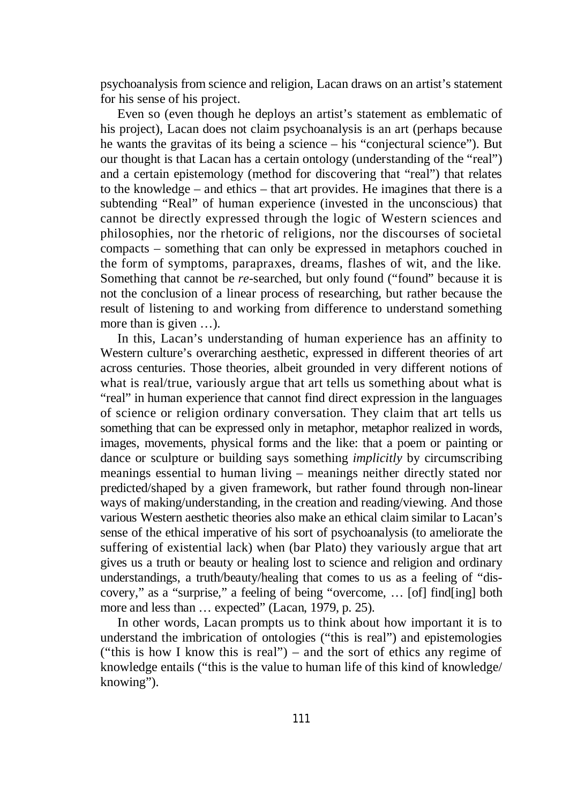psychoanalysis from science and religion, Lacan draws on an artist's statement for his sense of his project.

Even so (even though he deploys an artist's statement as emblematic of his project), Lacan does not claim psychoanalysis is an art (perhaps because he wants the gravitas of its being a science – his "conjectural science"). But our thought is that Lacan has a certain ontology (understanding of the "real") and a certain epistemology (method for discovering that "real") that relates to the knowledge – and ethics – that art provides. He imagines that there is a subtending "Real" of human experience (invested in the unconscious) that cannot be directly expressed through the logic of Western sciences and philosophies, nor the rhetoric of religions, nor the discourses of societal compacts – something that can only be expressed in metaphors couched in the form of symptoms, parapraxes, dreams, flashes of wit, and the like. Something that cannot be *re*-searched, but only found ("found" because it is not the conclusion of a linear process of researching, but rather because the result of listening to and working from difference to understand something more than is given …).

In this, Lacan's understanding of human experience has an affinity to Western culture's overarching aesthetic, expressed in different theories of art across centuries. Those theories, albeit grounded in very different notions of what is real/true, variously argue that art tells us something about what is "real" in human experience that cannot find direct expression in the languages of science or religion ordinary conversation. They claim that art tells us something that can be expressed only in metaphor, metaphor realized in words, images, movements, physical forms and the like: that a poem or painting or dance or sculpture or building says something *implicitly* by circumscribing meanings essential to human living – meanings neither directly stated nor predicted/shaped by a given framework, but rather found through non-linear ways of making/understanding, in the creation and reading/viewing. And those various Western aesthetic theories also make an ethical claim similar to Lacan's sense of the ethical imperative of his sort of psychoanalysis (to ameliorate the suffering of existential lack) when (bar Plato) they variously argue that art gives us a truth or beauty or healing lost to science and religion and ordinary understandings, a truth/beauty/healing that comes to us as a feeling of "discovery," as a "surprise," a feeling of being "overcome, … [of] find[ing] both more and less than ... expected" (Lacan, 1979, p. 25).

In other words, Lacan prompts us to think about how important it is to understand the imbrication of ontologies ("this is real") and epistemologies ("this is how I know this is real") – and the sort of ethics any regime of knowledge entails ("this is the value to human life of this kind of knowledge/ knowing").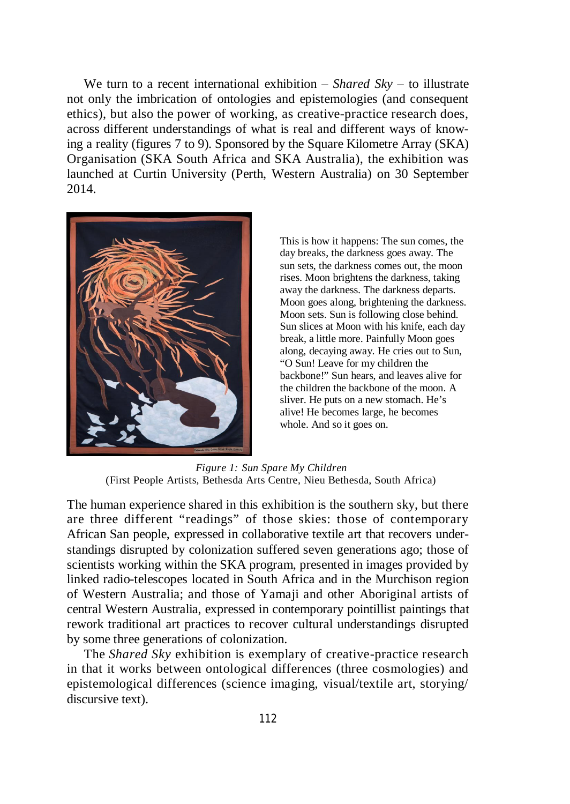We turn to a recent international exhibition – *Shared Sky* – to illustrate not only the imbrication of ontologies and epistemologies (and consequent ethics), but also the power of working, as creative-practice research does, across different understandings of what is real and different ways of knowing a reality (figures 7 to 9). Sponsored by the Square Kilometre Array (SKA) Organisation (SKA South Africa and SKA Australia), the exhibition was launched at Curtin University (Perth, Western Australia) on 30 September 2014.



This is how it happens: The sun comes, the day breaks, the darkness goes away. The sun sets, the darkness comes out, the moon rises. Moon brightens the darkness, taking away the darkness. The darkness departs. Moon goes along, brightening the darkness. Moon sets. Sun is following close behind. Sun slices at Moon with his knife, each day break, a little more. Painfully Moon goes along, decaying away. He cries out to Sun, "O Sun! Leave for my children the backbone!" Sun hears, and leaves alive for the children the backbone of the moon. A sliver. He puts on a new stomach. He's alive! He becomes large, he becomes whole. And so it goes on.

*Figure 1: Sun Spare My Children* (First People Artists, Bethesda Arts Centre, Nieu Bethesda, South Africa)

The human experience shared in this exhibition is the southern sky, but there are three different "readings" of those skies: those of contemporary African San people, expressed in collaborative textile art that recovers understandings disrupted by colonization suffered seven generations ago; those of scientists working within the SKA program, presented in images provided by linked radio-telescopes located in South Africa and in the Murchison region of Western Australia; and those of Yamaji and other Aboriginal artists of central Western Australia, expressed in contemporary pointillist paintings that rework traditional art practices to recover cultural understandings disrupted by some three generations of colonization.

The *Shared Sky* exhibition is exemplary of creative-practice research in that it works between ontological differences (three cosmologies) and epistemological differences (science imaging, visual/textile art, storying/ discursive text).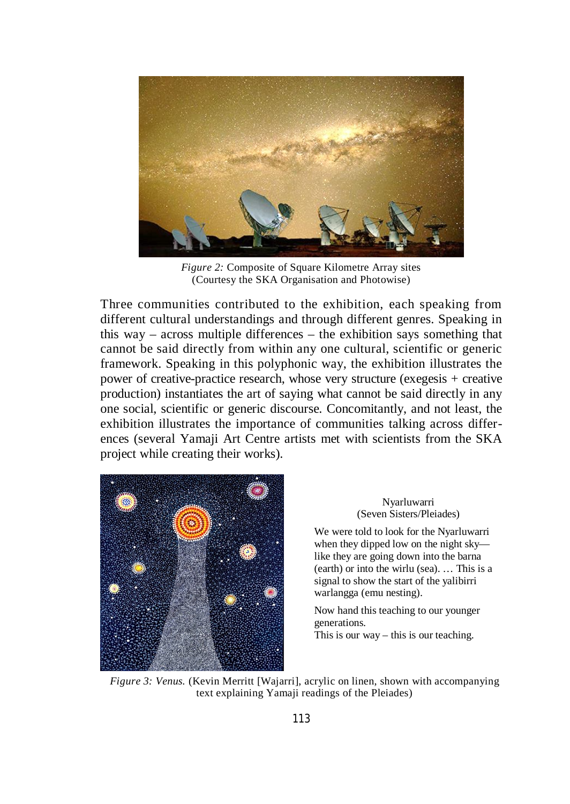

*Figure 2:* Composite of Square Kilometre Array sites (Courtesy the SKA Organisation and Photowise)

Three communities contributed to the exhibition, each speaking from different cultural understandings and through different genres. Speaking in this way – across multiple differences – the exhibition says something that cannot be said directly from within any one cultural, scientific or generic framework. Speaking in this polyphonic way, the exhibition illustrates the power of creative-practice research, whose very structure (exegesis + creative production) instantiates the art of saying what cannot be said directly in any one social, scientific or generic discourse. Concomitantly, and not least, the exhibition illustrates the importance of communities talking across differences (several Yamaji Art Centre artists met with scientists from the SKA project while creating their works).



### Nyarluwarri (Seven Sisters/Pleiades)

We were told to look for the Nyarluwarri when they dipped low on the night sky like they are going down into the barna (earth) or into the wirlu (sea). … This is a signal to show the start of the yalibirri warlangga (emu nesting).

Now hand this teaching to our younger generations. This is our way – this is our teaching.

*Figure 3: Venus.* (Kevin Merritt [Wajarri], acrylic on linen, shown with accompanying text explaining Yamaji readings of the Pleiades)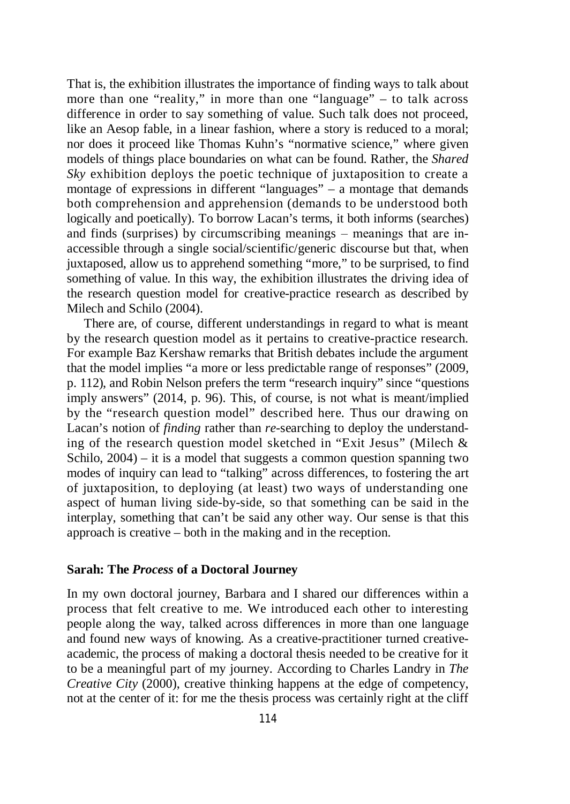That is, the exhibition illustrates the importance of finding ways to talk about more than one "reality," in more than one "language" – to talk across difference in order to say something of value. Such talk does not proceed, like an Aesop fable, in a linear fashion, where a story is reduced to a moral; nor does it proceed like Thomas Kuhn's "normative science," where given models of things place boundaries on what can be found. Rather, the *Shared Sky* exhibition deploys the poetic technique of juxtaposition to create a montage of expressions in different "languages" – a montage that demands both comprehension and apprehension (demands to be understood both logically and poetically). To borrow Lacan's terms, it both informs (searches) and finds (surprises) by circumscribing meanings  $-$  meanings that are inaccessible through a single social/scientific/generic discourse but that, when juxtaposed, allow us to apprehend something "more," to be surprised, to find something of value. In this way, the exhibition illustrates the driving idea of the research question model for creative-practice research as described by Milech and Schilo (2004).

There are, of course, different understandings in regard to what is meant by the research question model as it pertains to creative-practice research. For example Baz Kershaw remarks that British debates include the argument that the model implies "a more or less predictable range of responses" (2009, p. 112), and Robin Nelson prefers the term "research inquiry" since "questions imply answers" (2014, p. 96). This, of course, is not what is meant/implied by the "research question model" described here. Thus our drawing on Lacan's notion of *finding* rather than *re*-searching to deploy the understanding of the research question model sketched in "Exit Jesus" (Milech & Schilo, 2004) – it is a model that suggests a common question spanning two modes of inquiry can lead to "talking" across differences, to fostering the art of juxtaposition, to deploying (at least) two ways of understanding one aspect of human living side-by-side, so that something can be said in the interplay, something that can't be said any other way. Our sense is that this approach is creative – both in the making and in the reception.

## **Sarah: The** *Process* **of a Doctoral Journey**

In my own doctoral journey, Barbara and I shared our differences within a process that felt creative to me. We introduced each other to interesting people along the way, talked across differences in more than one language and found new ways of knowing. As a creative-practitioner turned creativeacademic, the process of making a doctoral thesis needed to be creative for it to be a meaningful part of my journey. According to Charles Landry in *The Creative City* (2000), creative thinking happens at the edge of competency, not at the center of it: for me the thesis process was certainly right at the cliff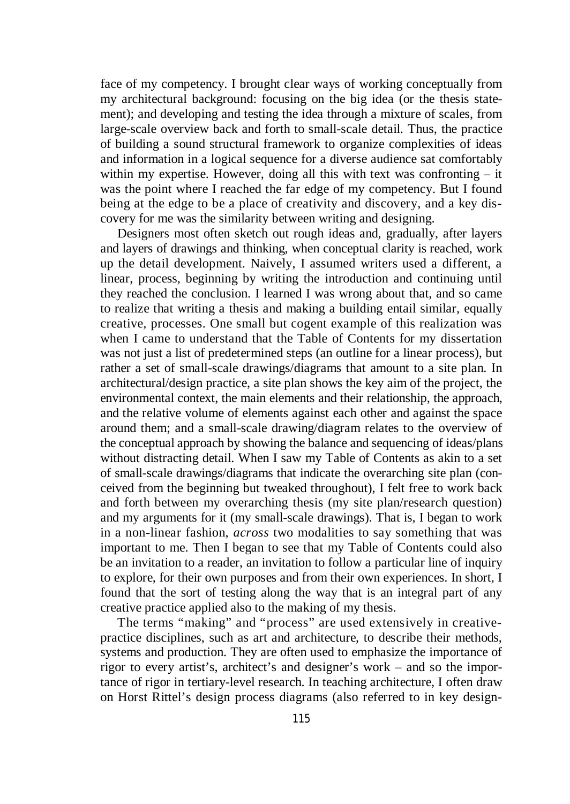face of my competency. I brought clear ways of working conceptually from my architectural background: focusing on the big idea (or the thesis statement); and developing and testing the idea through a mixture of scales, from large-scale overview back and forth to small-scale detail. Thus, the practice of building a sound structural framework to organize complexities of ideas and information in a logical sequence for a diverse audience sat comfortably within my expertise. However, doing all this with text was confronting – it was the point where I reached the far edge of my competency. But I found being at the edge to be a place of creativity and discovery, and a key discovery for me was the similarity between writing and designing.

Designers most often sketch out rough ideas and, gradually, after layers and layers of drawings and thinking, when conceptual clarity is reached, work up the detail development. Naively, I assumed writers used a different, a linear, process, beginning by writing the introduction and continuing until they reached the conclusion. I learned I was wrong about that, and so came to realize that writing a thesis and making a building entail similar, equally creative, processes. One small but cogent example of this realization was when I came to understand that the Table of Contents for my dissertation was not just a list of predetermined steps (an outline for a linear process), but rather a set of small-scale drawings/diagrams that amount to a site plan. In architectural/design practice, a site plan shows the key aim of the project, the environmental context, the main elements and their relationship, the approach, and the relative volume of elements against each other and against the space around them; and a small-scale drawing/diagram relates to the overview of the conceptual approach by showing the balance and sequencing of ideas/plans without distracting detail. When I saw my Table of Contents as akin to a set of small-scale drawings/diagrams that indicate the overarching site plan (conceived from the beginning but tweaked throughout), I felt free to work back and forth between my overarching thesis (my site plan/research question) and my arguments for it (my small-scale drawings). That is, I began to work in a non-linear fashion, *across* two modalities to say something that was important to me. Then I began to see that my Table of Contents could also be an invitation to a reader, an invitation to follow a particular line of inquiry to explore, for their own purposes and from their own experiences. In short, I found that the sort of testing along the way that is an integral part of any creative practice applied also to the making of my thesis.

The terms "making" and "process" are used extensively in creativepractice disciplines, such as art and architecture, to describe their methods, systems and production. They are often used to emphasize the importance of rigor to every artist's, architect's and designer's work – and so the importance of rigor in tertiary-level research. In teaching architecture, I often draw on Horst Rittel's design process diagrams (also referred to in key design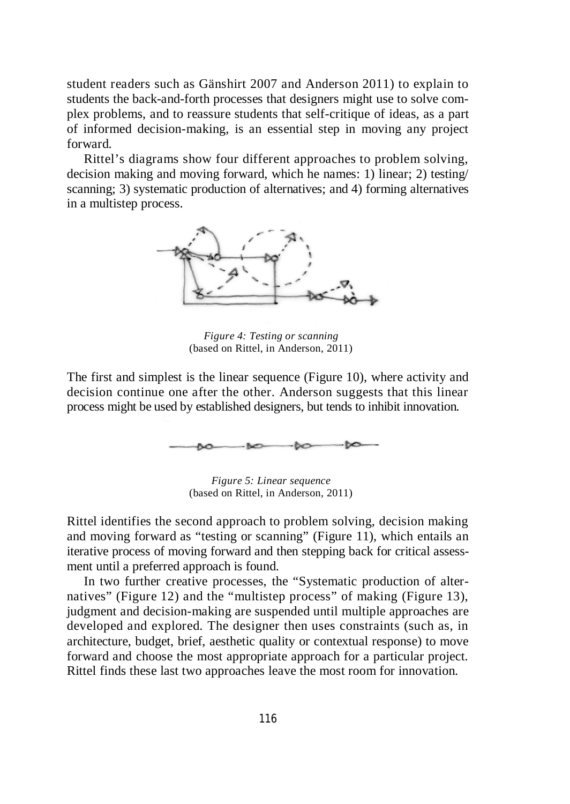student readers such as Gänshirt 2007 and Anderson 2011) to explain to students the back-and-forth processes that designers might use to solve complex problems, and to reassure students that self-critique of ideas, as a part of informed decision-making, is an essential step in moving any project forward.

Rittel's diagrams show four different approaches to problem solving, decision making and moving forward, which he names: 1) linear; 2) testing/ scanning; 3) systematic production of alternatives; and 4) forming alternatives in a multistep process.



*Figure 4: Testing or scanning* (based on Rittel, in Anderson, 2011)

The first and simplest is the linear sequence (Figure 10), where activity and decision continue one after the other. Anderson suggests that this linear process might be used by established designers, but tends to inhibit innovation.



*Figure 5: Linear sequence* (based on Rittel, in Anderson, 2011)

Rittel identifies the second approach to problem solving, decision making and moving forward as "testing or scanning" (Figure 11), which entails an iterative process of moving forward and then stepping back for critical assessment until a preferred approach is found.

In two further creative processes, the "Systematic production of alternatives" (Figure 12) and the "multistep process" of making (Figure 13), judgment and decision-making are suspended until multiple approaches are developed and explored. The designer then uses constraints (such as, in architecture, budget, brief, aesthetic quality or contextual response) to move forward and choose the most appropriate approach for a particular project. Rittel finds these last two approaches leave the most room for innovation.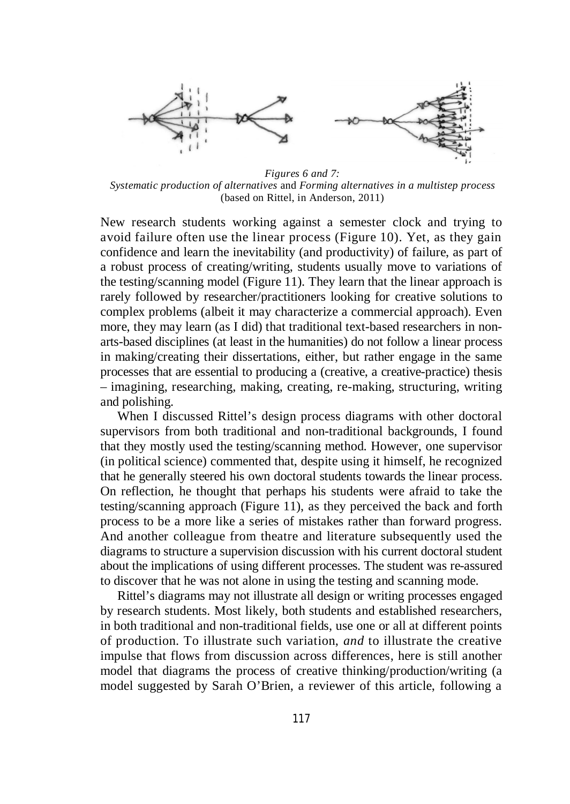

*Figures 6 and 7: Systematic production of alternatives* and *Forming alternatives in a multistep process* (based on Rittel, in Anderson, 2011)

New research students working against a semester clock and trying to avoid failure often use the linear process (Figure 10). Yet, as they gain confidence and learn the inevitability (and productivity) of failure, as part of a robust process of creating/writing, students usually move to variations of the testing/scanning model (Figure 11). They learn that the linear approach is rarely followed by researcher/practitioners looking for creative solutions to complex problems (albeit it may characterize a commercial approach). Even more, they may learn (as I did) that traditional text-based researchers in nonarts-based disciplines (at least in the humanities) do not follow a linear process in making/creating their dissertations, either, but rather engage in the same processes that are essential to producing a (creative, a creative-practice) thesis – imagining, researching, making, creating, re-making, structuring, writing and polishing.

When I discussed Rittel's design process diagrams with other doctoral supervisors from both traditional and non-traditional backgrounds, I found that they mostly used the testing/scanning method. However, one supervisor (in political science) commented that, despite using it himself, he recognized that he generally steered his own doctoral students towards the linear process. On reflection, he thought that perhaps his students were afraid to take the testing/scanning approach (Figure 11), as they perceived the back and forth process to be a more like a series of mistakes rather than forward progress. And another colleague from theatre and literature subsequently used the diagrams to structure a supervision discussion with his current doctoral student about the implications of using different processes. The student was re-assured to discover that he was not alone in using the testing and scanning mode.

Rittel's diagrams may not illustrate all design or writing processes engaged by research students. Most likely, both students and established researchers, in both traditional and non-traditional fields, use one or all at different points of production. To illustrate such variation, *and* to illustrate the creative impulse that flows from discussion across differences, here is still another model that diagrams the process of creative thinking/production/writing (a model suggested by Sarah O'Brien, a reviewer of this article, following a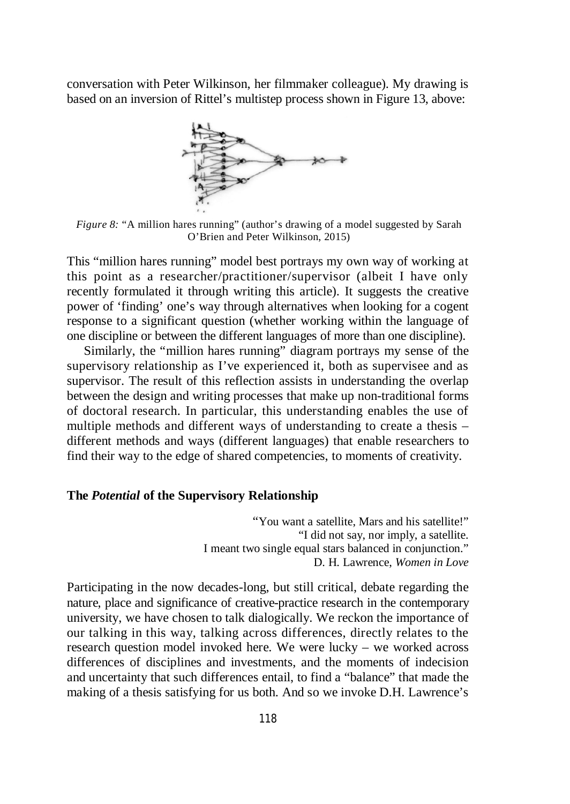conversation with Peter Wilkinson, her filmmaker colleague). My drawing is based on an inversion of Rittel's multistep process shown in Figure 13, above:



*Figure 8*: "A million hares running" (author's drawing of a model suggested by Sarah O'Brien and Peter Wilkinson, 2015)

This "million hares running" model best portrays my own way of working at this point as a researcher/practitioner/supervisor (albeit I have only recently formulated it through writing this article). It suggests the creative power of 'finding' one's way through alternatives when looking for a cogent response to a significant question (whether working within the language of one discipline or between the different languages of more than one discipline).

Similarly, the "million hares running" diagram portrays my sense of the supervisory relationship as I've experienced it, both as supervisee and as supervisor. The result of this reflection assists in understanding the overlap between the design and writing processes that make up non-traditional forms of doctoral research. In particular, this understanding enables the use of multiple methods and different ways of understanding to create a thesis – different methods and ways (different languages) that enable researchers to find their way to the edge of shared competencies, to moments of creativity.

### **The** *Potential* **of the Supervisory Relationship**

"You want a satellite, Mars and his satellite!" "I did not say, nor imply, a satellite. I meant two single equal stars balanced in conjunction." D. H. Lawrence, *Women in Love*

Participating in the now decades-long, but still critical, debate regarding the nature, place and significance of creative-practice research in the contemporary university, we have chosen to talk dialogically. We reckon the importance of our talking in this way, talking across differences, directly relates to the research question model invoked here. We were lucky – we worked across differences of disciplines and investments, and the moments of indecision and uncertainty that such differences entail, to find a "balance" that made the making of a thesis satisfying for us both. And so we invoke D.H. Lawrence's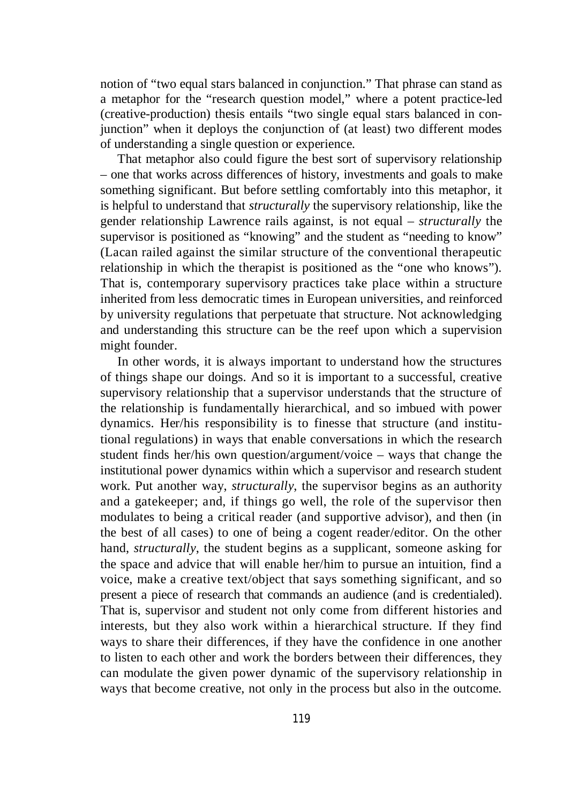notion of "two equal stars balanced in conjunction." That phrase can stand as a metaphor for the "research question model," where a potent practice-led (creative-production) thesis entails "two single equal stars balanced in conjunction" when it deploys the conjunction of (at least) two different modes of understanding a single question or experience.

That metaphor also could figure the best sort of supervisory relationship – one that works across differences of history, investments and goals to make something significant. But before settling comfortably into this metaphor, it is helpful to understand that *structurally* the supervisory relationship, like the gender relationship Lawrence rails against, is not equal – *structurally* the supervisor is positioned as "knowing" and the student as "needing to know" (Lacan railed against the similar structure of the conventional therapeutic relationship in which the therapist is positioned as the "one who knows"). That is, contemporary supervisory practices take place within a structure inherited from less democratic times in European universities, and reinforced by university regulations that perpetuate that structure. Not acknowledging and understanding this structure can be the reef upon which a supervision might founder.

In other words, it is always important to understand how the structures of things shape our doings. And so it is important to a successful, creative supervisory relationship that a supervisor understands that the structure of the relationship is fundamentally hierarchical, and so imbued with power dynamics. Her/his responsibility is to finesse that structure (and institutional regulations) in ways that enable conversations in which the research student finds her/his own question/argument/voice – ways that change the institutional power dynamics within which a supervisor and research student work. Put another way, *structurally*, the supervisor begins as an authority and a gatekeeper; and, if things go well, the role of the supervisor then modulates to being a critical reader (and supportive advisor), and then (in the best of all cases) to one of being a cogent reader/editor. On the other hand, *structurally*, the student begins as a supplicant, someone asking for the space and advice that will enable her/him to pursue an intuition, find a voice, make a creative text/object that says something significant, and so present a piece of research that commands an audience (and is credentialed). That is, supervisor and student not only come from different histories and interests, but they also work within a hierarchical structure. If they find ways to share their differences, if they have the confidence in one another to listen to each other and work the borders between their differences, they can modulate the given power dynamic of the supervisory relationship in ways that become creative, not only in the process but also in the outcome.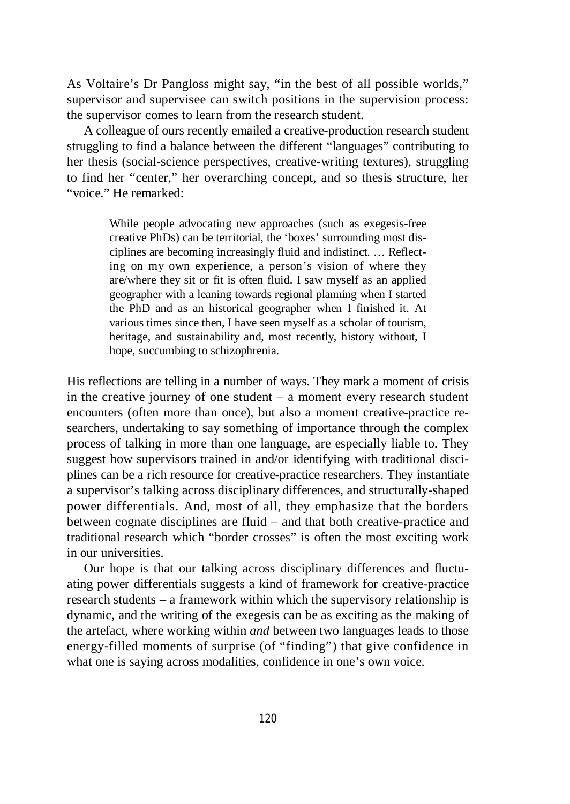As Voltaire's Dr Pangloss might say, "in the best of all possible worlds," supervisor and supervisee can switch positions in the supervision process: the supervisor comes to learn from the research student.

A colleague of ours recently emailed a creative-production research student struggling to find a balance between the different "languages" contributing to her thesis (social-science perspectives, creative-writing textures), struggling to find her "center," her overarching concept, and so thesis structure, her "voice." He remarked:

> While people advocating new approaches (such as exegesis-free creative PhDs) can be territorial, the 'boxes' surrounding most disciplines are becoming increasingly fluid and indistinct. … Reflecting on my own experience, a person's vision of where they are/where they sit or fit is often fluid. I saw myself as an applied geographer with a leaning towards regional planning when I started the PhD and as an historical geographer when I finished it. At various times since then, I have seen myself as a scholar of tourism, heritage, and sustainability and, most recently, history without, I hope, succumbing to schizophrenia.

His reflections are telling in a number of ways. They mark a moment of crisis in the creative journey of one student – a moment every research student encounters (often more than once), but also a moment creative-practice researchers, undertaking to say something of importance through the complex process of talking in more than one language, are especially liable to. They suggest how supervisors trained in and/or identifying with traditional disciplines can be a rich resource for creative-practice researchers. They instantiate a supervisor's talking across disciplinary differences, and structurally-shaped power differentials. And, most of all, they emphasize that the borders between cognate disciplines are fluid – and that both creative-practice and traditional research which "border crosses" is often the most exciting work in our universities.

Our hope is that our talking across disciplinary differences and fluctuating power differentials suggests a kind of framework for creative-practice research students – a framework within which the supervisory relationship is dynamic, and the writing of the exegesis can be as exciting as the making of the artefact, where working within *and* between two languages leads to those energy-filled moments of surprise (of "finding") that give confidence in what one is saying across modalities, confidence in one's own voice.